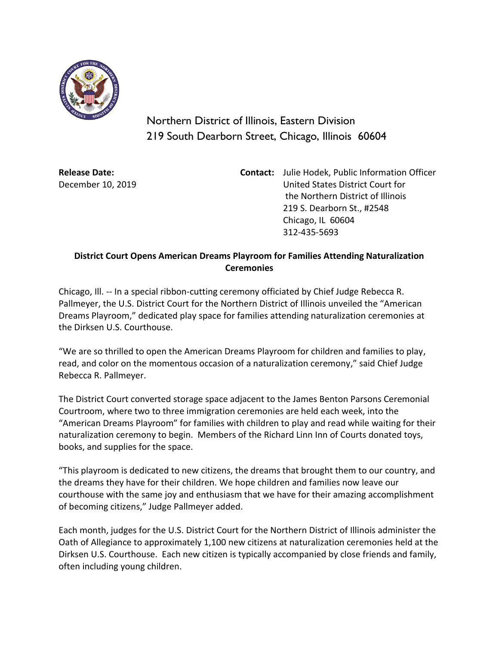

Northern District of Illinois, Eastern Division 219 South Dearborn Street, Chicago, Illinois 60604

**Release Date:** December 10, 2019 **Contact:** Julie Hodek, Public Information Officer United States District Court for the Northern District of Illinois 219 S. Dearborn St., #2548 Chicago, IL 60604 312-435-5693

## **District Court Opens American Dreams Playroom for Families Attending Naturalization Ceremonies**

Chicago, Ill. -- In a special ribbon-cutting ceremony officiated by Chief Judge Rebecca R. Pallmeyer, the U.S. District Court for the Northern District of Illinois unveiled the "American Dreams Playroom," dedicated play space for families attending naturalization ceremonies at the Dirksen U.S. Courthouse.

"We are so thrilled to open the American Dreams Playroom for children and families to play, read, and color on the momentous occasion of a naturalization ceremony," said Chief Judge Rebecca R. Pallmeyer.

The District Court converted storage space adjacent to the James Benton Parsons Ceremonial Courtroom, where two to three immigration ceremonies are held each week, into the "American Dreams Playroom" for families with children to play and read while waiting for their naturalization ceremony to begin. Members of the Richard Linn Inn of Courts donated toys, books, and supplies for the space.

"This playroom is dedicated to new citizens, the dreams that brought them to our country, and the dreams they have for their children. We hope children and families now leave our courthouse with the same joy and enthusiasm that we have for their amazing accomplishment of becoming citizens," Judge Pallmeyer added.

Each month, judges for the U.S. District Court for the Northern District of Illinois administer the Oath of Allegiance to approximately 1,100 new citizens at naturalization ceremonies held at the Dirksen U.S. Courthouse. Each new citizen is typically accompanied by close friends and family, often including young children.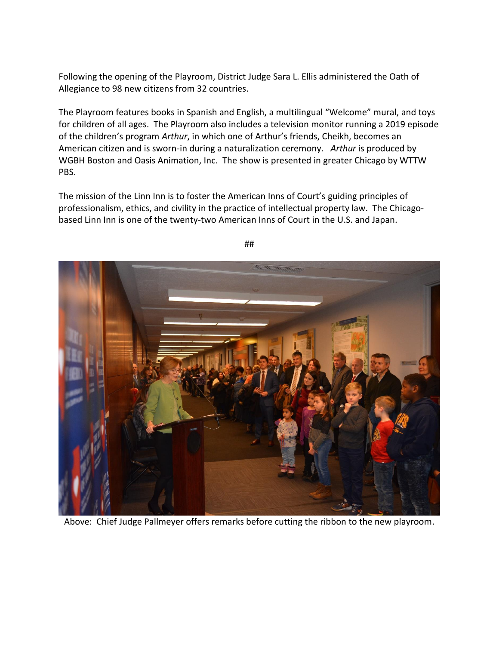Following the opening of the Playroom, District Judge Sara L. Ellis administered the Oath of Allegiance to 98 new citizens from 32 countries.

The Playroom features books in Spanish and English, a multilingual "Welcome" mural, and toys for children of all ages. The Playroom also includes a television monitor running a 2019 episode of the children's program *Arthur*, in which one of Arthur's friends, Cheikh, becomes an American citizen and is sworn-in during a naturalization ceremony. *Arthur* is produced by WGBH Boston and Oasis Animation, Inc. The show is presented in greater Chicago by WTTW PBS.

The mission of the Linn Inn is to foster the American Inns of Court's guiding principles of professionalism, ethics, and civility in the practice of intellectual property law. The Chicagobased Linn Inn is one of the twenty-two American Inns of Court in the U.S. and Japan.



##

Above: Chief Judge Pallmeyer offers remarks before cutting the ribbon to the new playroom.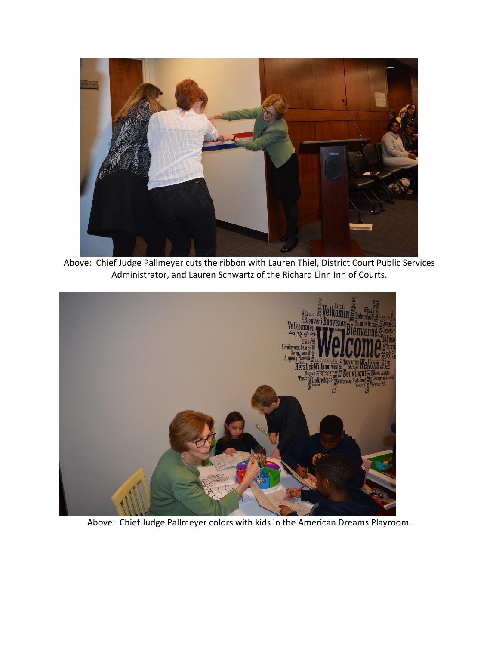

Above: Chief Judge Pallmeyer cuts the ribbon with Lauren Thiel, District Court Public Services Administrator, and Lauren Schwartz of the Richard Linn Inn of Courts.



Above: Chief Judge Pallmeyer colors with kids in the American Dreams Playroom.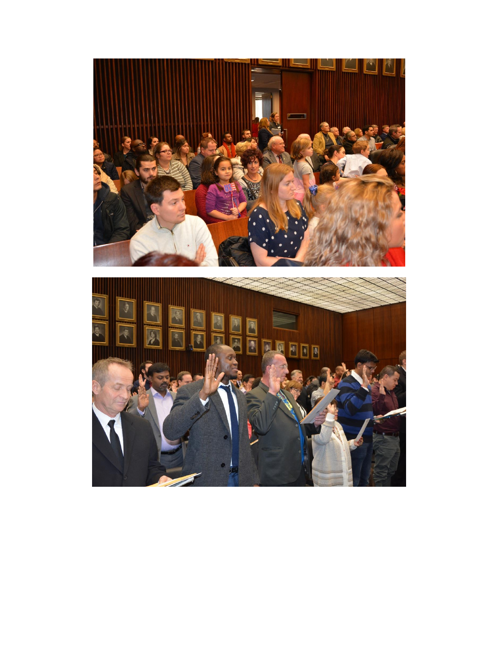